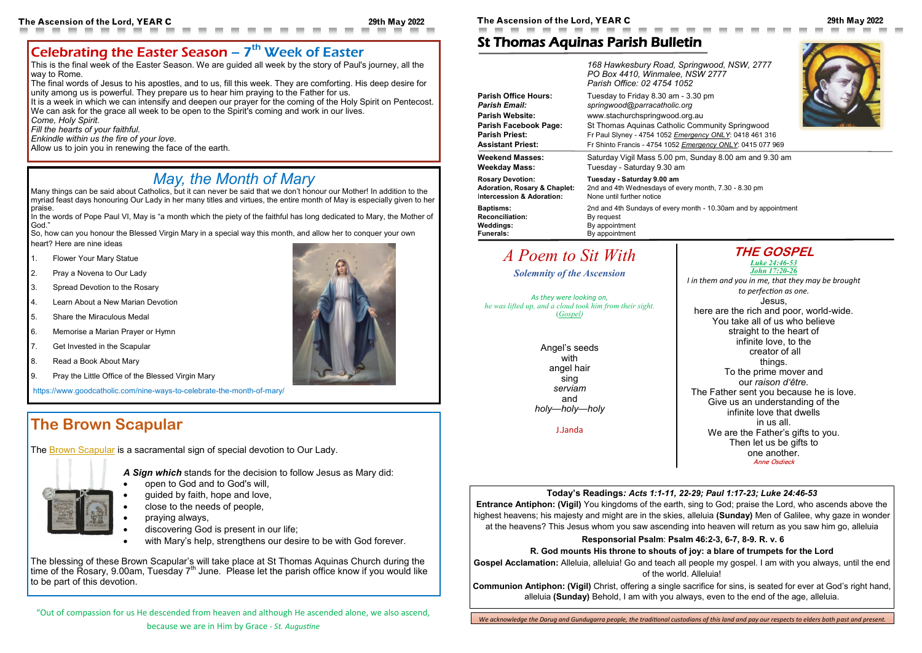### **Today's Readings***: Acts 1:1-11, 22-29; Paul 1:17-23; Luke 24:46-53*

**Entrance Antiphon: (Vigil)** You kingdoms of the earth, sing to God; praise the Lord, who ascends above the highest heavens; his majesty and might are in the skies, alleluia **(Sunday)** Men of Galilee, why gaze in wonder at the heavens? This Jesus whom you saw ascending into heaven will return as you saw him go, alleluia

### **Responsorial Psalm**: **Psalm 46:2-3, 6-7, 8-9. R. v. 6**

### **R. God mounts His throne to shouts of joy: a blare of trumpets for the Lord**

**Gospel Acclamation:** Alleluia, alleluia! Go and teach all people my gospel. I am with you always, until the end of the world. Alleluia!

**Communion Antiphon: (Vigil)** Christ, offering a single sacrifice for sins, is seated for ever at God's right hand, alleluia **(Sunday)** Behold, I am with you always, even to the end of the age, alleluia.

## Celebrating the Easter Season  $-7<sup>th</sup>$  Week of Easter

## St Thomas Aquinas Parish Bulletin



The final words of Jesus to his apostles, and to us, fill this week. They are comforting. His deep desire for unity among us is powerful. They prepare us to hear him praying to the Father for us.

|                                         | 168 Hawkesbury Road, Springwood, NSW, 2777<br>PO Box 4410, Winmalee, NSW 2777<br>Parish Office: 02 4754 1052 |  |
|-----------------------------------------|--------------------------------------------------------------------------------------------------------------|--|
| <b>Parish Office Hours:</b>             | Tuesday to Friday 8.30 am - 3.30 pm                                                                          |  |
| <b>Parish Email:</b>                    | springwood@parracatholic.org                                                                                 |  |
| <b>Parish Website:</b>                  | www.stachurchspringwood.org.au                                                                               |  |
| <b>Parish Facebook Page:</b>            | St Thomas Aquinas Catholic Community Springwood                                                              |  |
| <b>Parish Priest:</b>                   | Fr Paul Slyney - 4754 1052 Emergency ONLY: 0418 461 316                                                      |  |
| <b>Assistant Priest:</b>                | Fr Shinto Francis - 4754 1052 Emergency ONLY: 0415 077 969                                                   |  |
| <b>Weekend Masses:</b>                  | Saturday Vigil Mass 5.00 pm, Sunday 8.00 am and 9.30 am                                                      |  |
| <b>Weekday Mass:</b>                    | Tuesday - Saturday 9.30 am                                                                                   |  |
| <b>Rosary Devotion:</b>                 | Tuesday - Saturday 9.00 am                                                                                   |  |
| <b>Adoration, Rosary &amp; Chaplet:</b> | 2nd and 4th Wednesdays of every month, 7.30 - 8.30 pm                                                        |  |
| Intercession & Adoration:               | None until further notice                                                                                    |  |
| <b>Baptisms:</b>                        | 2nd and 4th Sundays of every month - 10.30am and by appointment                                              |  |
| <b>Reconciliation:</b>                  | By request                                                                                                   |  |
| <b>Weddings:</b>                        | By appointment                                                                                               |  |
| <b>Funerals:</b>                        | By appointment                                                                                               |  |

It is a week in which we can intensify and deepen our prayer for the coming of the Holy Spirit on Pentecost. We can ask for the grace all week to be open to the Spirit's coming and work in our lives.

Many things can be said about Catholics, but it can never be said that we don't honour our Mother! In addition to the myriad feast days honouring Our Lady in her many titles and virtues, the entire month of May is especially given to her praise.

In the words of Pope Paul VI, May is "a month which the piety of the faithful has long dedicated to Mary, the Mother of God."

**THE GOSPEL**

- **Flower Your Mary Statue**
- 2. Pray a Novena to Our Lady
- 3. Spread Devotion to the Rosary
- 4. Learn About a New Marian Devotion
- 5. Share the Miraculous Medal
- 6. Memorise a Marian Prayer or Hymn
- 7. Get Invested in the Scapular
- 8. Read a Book About Mary
- 9. Pray the Little Office of the Blessed Virgin Mary

*[Luke 24:46](https://bible.usccb.org/bible/luke/24?46)-53 [John 17:20](https://bible.usccb.org/bible/john/17?20)-26 I in them and you in me, that they may be brought to perfection as one.* Jesus, here are the rich and poor, world-wide. You take all of us who believe straight to the heart of infinite love, to the creator of all things. To the prime mover and our *raison d'être.* The Father sent you because he is love. Give us an understanding of the infinite love that dwells in us all. We are the Father's gifts to you. Then let us be gifts to one another. Anne Osdieck

- open to God and to God's will,
- guided by faith, hope and love,
- close to the needs of people,
- praying always,
- discovering God is present in our life;
- with Mary's help, strengthens our desire to be with God forever.

# *A Poem to Sit With*

*Solemnity of the Ascension*

*As they were looking on, he was lifted up, and a cloud took him from their sight.* (*[Gospel\)](https://bible.usccb.org/bible/readings/052922-ascension.cfm)*

> Angel's seeds with angel hair sing *serviam* and *holy—holy—holy*

> > J.Janda

This is the final week of the Easter Season. We are guided all week by the story of Paul's journey, all the way to Rome.

*Come, Holy Spirit.*

*Fill the hearts of your faithful.*

*Enkindle within us the fire of your love.*

Allow us to join you in renewing the face of the earth.

"Out of compassion for us He descended from heaven and although He ascended alone, we also ascend,

## *May, the Month of Mary*

So, how can you honour the Blessed Virgin Mary in a special way this month, and allow her to conquer your own heart? Here are nine ideas

https://www.goodcatholic.com/nine-ways-to-celebrate-the-month-of-mary/

## **The Brown Scapular**

The [Brown Scapular](https://www.catholiccompany.com/Scapulars-c57/) is a sacramental sign of special devotion to Our Lady.

*A Sign which* stands for the decision to follow Jesus as Mary did:

The blessing of these Brown Scapular's will take place at St Thomas Aquinas Church during the time of the Rosary, 9.00am, Tuesday  $7<sup>th</sup>$  June. Please let the parish office know if you would like to be part of this devotion.